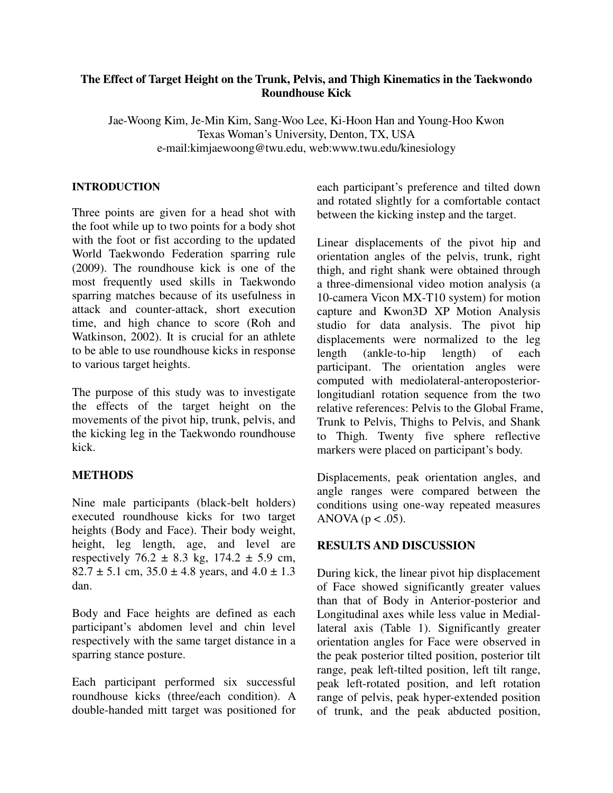## **The Effect of Target Height on the Trunk, Pelvis, and Thigh Kinematics in the Taekwondo Roundhouse Kick**

Jae-Woong Kim, Je-Min Kim, Sang-Woo Lee, Ki-Hoon Han and Young-Hoo Kwon Texas Woman's University, Denton, TX, USA e-mail:kimjaewoong@twu.edu, web:www.twu.edu/kinesiology

#### **INTRODUCTION**

Three points are given for a head shot with the foot while up to two points for a body shot with the foot or fist according to the updated World Taekwondo Federation sparring rule (2009). The roundhouse kick is one of the most frequently used skills in Taekwondo sparring matches because of its usefulness in attack and counter-attack, short execution time, and high chance to score (Roh and Watkinson, 2002). It is crucial for an athlete to be able to use roundhouse kicks in response to various target heights.

The purpose of this study was to investigate the effects of the target height on the movements of the pivot hip, trunk, pelvis, and the kicking leg in the Taekwondo roundhouse kick.

### **METHODS**

Nine male participants (black-belt holders) executed roundhouse kicks for two target heights (Body and Face). Their body weight, height, leg length, age, and level are respectively  $76.2 \pm 8.3$  kg,  $174.2 \pm 5.9$  cm,  $82.7 \pm 5.1$  cm,  $35.0 \pm 4.8$  years, and  $4.0 \pm 1.3$ dan.

Body and Face heights are defined as each participant's abdomen level and chin level respectively with the same target distance in a sparring stance posture.

Each participant performed six successful roundhouse kicks (three/each condition). A double-handed mitt target was positioned for each participant's preference and tilted down and rotated slightly for a comfortable contact between the kicking instep and the target.

Linear displacements of the pivot hip and orientation angles of the pelvis, trunk, right thigh, and right shank were obtained through a three-dimensional video motion analysis (a 10-camera Vicon MX-T10 system) for motion capture and Kwon3D XP Motion Analysis studio for data analysis. The pivot hip displacements were normalized to the leg length (ankle-to-hip length) of each participant. The orientation angles were computed with mediolateral-anteroposteriorlongitudianl rotation sequence from the two relative references: Pelvis to the Global Frame, Trunk to Pelvis, Thighs to Pelvis, and Shank to Thigh. Twenty five sphere reflective markers were placed on participant's body.

Displacements, peak orientation angles, and angle ranges were compared between the conditions using one-way repeated measures ANOVA ( $p < .05$ ).

# **RESULTS AND DISCUSSION**

During kick, the linear pivot hip displacement of Face showed significantly greater values than that of Body in Anterior-posterior and Longitudinal axes while less value in Mediallateral axis (Table 1). Significantly greater orientation angles for Face were observed in the peak posterior tilted position, posterior tilt range, peak left-tilted position, left tilt range, peak left-rotated position, and left rotation range of pelvis, peak hyper-extended position of trunk, and the peak abducted position,